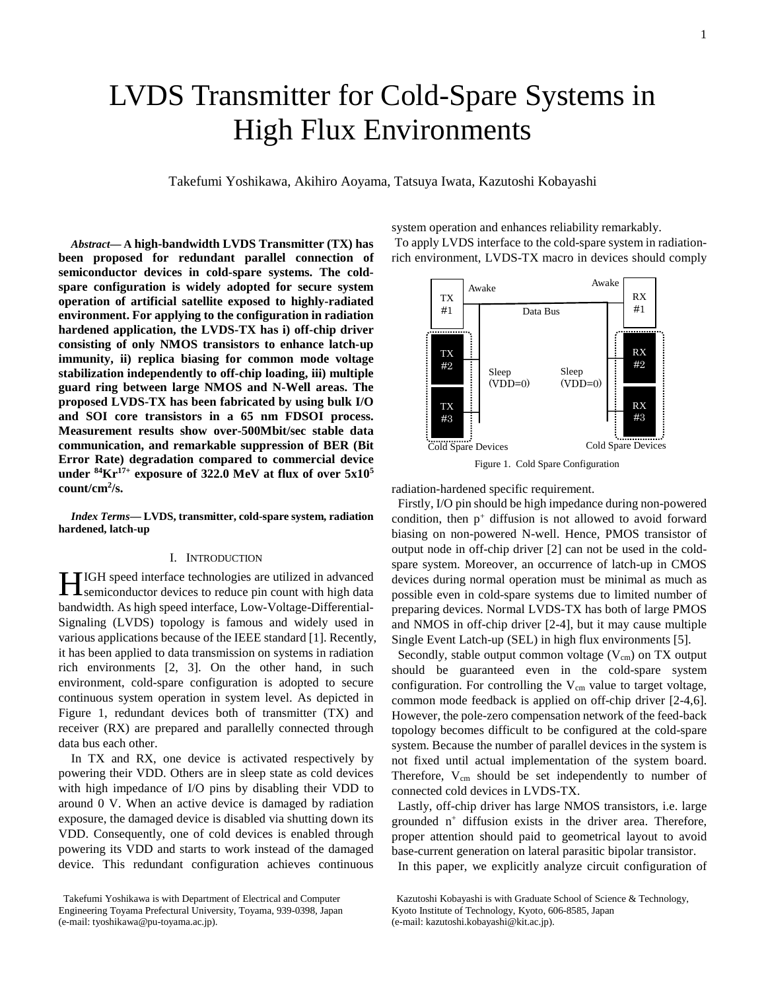# LVDS Transmitter for Cold-Spare Systems in High Flux Environments

Takefumi Yoshikawa, Akihiro Aoyama, Tatsuya Iwata, Kazutoshi Kobayashi

*Abstract***— A high-bandwidth LVDS Transmitter (TX) has been proposed for redundant parallel connection of semiconductor devices in cold-spare systems. The coldspare configuration is widely adopted for secure system operation of artificial satellite exposed to highly-radiated environment. For applying to the configuration in radiation hardened application, the LVDS-TX has i) off-chip driver consisting of only NMOS transistors to enhance latch-up immunity, ii) replica biasing for common mode voltage stabilization independently to off-chip loading, iii) multiple guard ring between large NMOS and N-Well areas. The proposed LVDS-TX has been fabricated by using bulk I/O and SOI core transistors in a 65 nm FDSOI process. Measurement results show over-500Mbit/sec stable data communication, and remarkable suppression of BER (Bit Error Rate) degradation compared to commercial device under 84Kr17+ exposure of 322.0 MeV at flux of over 5x105 count/cm2 /s.** 

*Index Terms***— LVDS, transmitter, cold-spare system, radiation hardened, latch-up**

## I. INTRODUCTION

IGH speed interface technologies are utilized in advanced **HIGH** speed interface technologies are utilized in advanced semiconductor devices to reduce pin count with high data bandwidth. As high speed interface, Low-Voltage-Differential-Signaling (LVDS) topology is famous and widely used in various applications because of the IEEE standard [1]. Recently, it has been applied to data transmission on systems in radiation rich environments [2, 3]. On the other hand, in such environment, cold-spare configuration is adopted to secure continuous system operation in system level. As depicted in Figure 1, redundant devices both of transmitter (TX) and receiver (RX) are prepared and parallelly connected through data bus each other.

In TX and RX, one device is activated respectively by powering their VDD. Others are in sleep state as cold devices with high impedance of I/O pins by disabling their VDD to around 0 V. When an active device is damaged by radiation exposure, the damaged device is disabled via shutting down its VDD. Consequently, one of cold devices is enabled through powering its VDD and starts to work instead of the damaged device. This redundant configuration achieves continuous

Takefumi Yoshikawa is with Department of Electrical and Computer Engineering Toyama Prefectural University, Toyama, 939-0398, Japan (e-mail: tyoshikawa@pu-toyama.ac.jp).

system operation and enhances reliability remarkably. To apply LVDS interface to the cold-spare system in radiationrich environment, LVDS-TX macro in devices should comply



Figure 1. Cold Spare Configuration

radiation-hardened specific requirement.

Firstly, I/O pin should be high impedance during non-powered condition, then  $p^+$  diffusion is not allowed to avoid forward biasing on non-powered N-well. Hence, PMOS transistor of output node in off-chip driver [2] can not be used in the coldspare system. Moreover, an occurrence of latch-up in CMOS devices during normal operation must be minimal as much as possible even in cold-spare systems due to limited number of preparing devices. Normal LVDS-TX has both of large PMOS and NMOS in off-chip driver [2-4], but it may cause multiple Single Event Latch-up (SEL) in high flux environments [5].

Secondly, stable output common voltage  $(V_{cm})$  on TX output should be guaranteed even in the cold-spare system configuration. For controlling the  $V_{cm}$  value to target voltage, common mode feedback is applied on off-chip driver [2-4,6]. However, the pole-zero compensation network of the feed-back topology becomes difficult to be configured at the cold-spare system. Because the number of parallel devices in the system is not fixed until actual implementation of the system board. Therefore,  $V_{cm}$  should be set independently to number of connected cold devices in LVDS-TX.

Lastly, off-chip driver has large NMOS transistors, i.e. large grounded  $n^+$  diffusion exists in the driver area. Therefore, proper attention should paid to geometrical layout to avoid base-current generation on lateral parasitic bipolar transistor.

In this paper, we explicitly analyze circuit configuration of

Kazutoshi Kobayashi is with Graduate School of Science & Technology, Kyoto Institute of Technology, Kyoto, 606-8585, Japan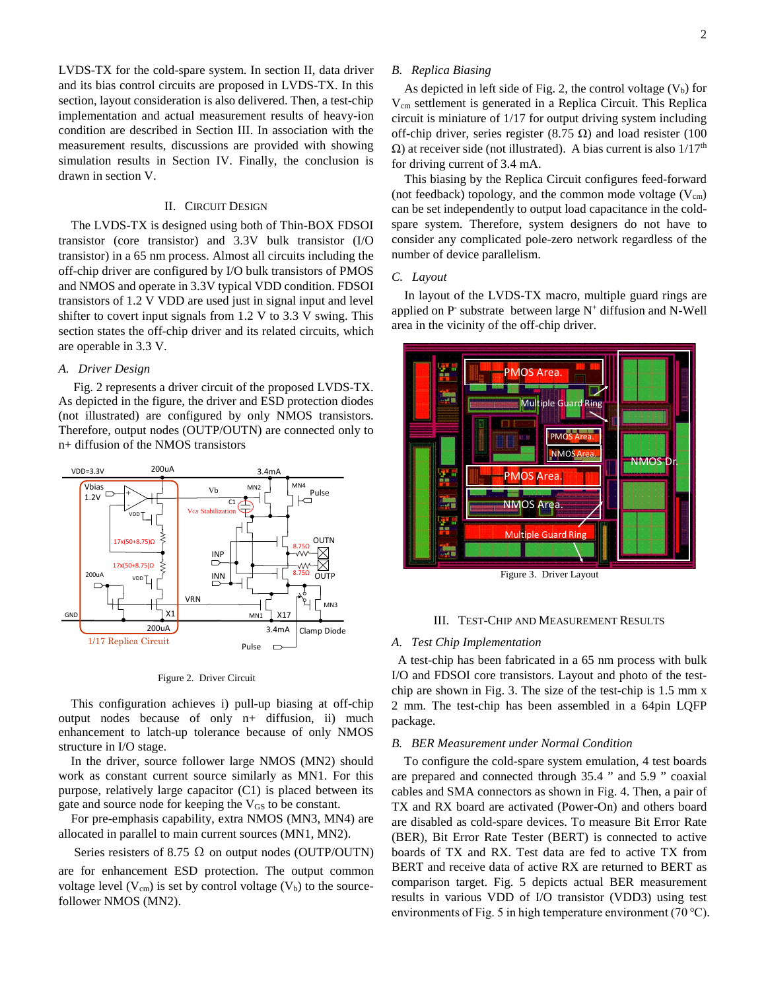LVDS-TX for the cold-spare system. In section II, data driver and its bias control circuits are proposed in LVDS-TX. In this section, layout consideration is also delivered. Then, a test-chip implementation and actual measurement results of heavy-ion condition are described in Section III. In association with the measurement results, discussions are provided with showing simulation results in Section IV. Finally, the conclusion is drawn in section V.

## II. CIRCUIT DESIGN

The LVDS-TX is designed using both of Thin-BOX FDSOI transistor (core transistor) and 3.3V bulk transistor (I/O transistor) in a 65 nm process. Almost all circuits including the off-chip driver are configured by I/O bulk transistors of PMOS and NMOS and operate in 3.3V typical VDD condition. FDSOI transistors of 1.2 V VDD are used just in signal input and level shifter to covert input signals from 1.2 V to 3.3 V swing. This section states the off-chip driver and its related circuits, which are operable in 3.3 V.

# *A. Driver Design*

Fig. 2 represents a driver circuit of the proposed LVDS-TX. As depicted in the figure, the driver and ESD protection diodes (not illustrated) are configured by only NMOS transistors. Therefore, output nodes (OUTP/OUTN) are connected only to n+ diffusion of the NMOS transistors



Figure 2. Driver Circuit

This configuration achieves i) pull-up biasing at off-chip output nodes because of only n+ diffusion, ii) much enhancement to latch-up tolerance because of only NMOS structure in I/O stage.

In the driver, source follower large NMOS (MN2) should work as constant current source similarly as MN1. For this purpose, relatively large capacitor (C1) is placed between its gate and source node for keeping the V<sub>GS</sub> to be constant.

For pre-emphasis capability, extra NMOS (MN3, MN4) are allocated in parallel to main current sources (MN1, MN2).

Series resisters of 8.75  $\Omega$  on output nodes (OUTP/OUTN) are for enhancement ESD protection. The output common voltage level  $(V_{cm})$  is set by control voltage  $(V_b)$  to the sourcefollower NMOS (MN2).

# *B. Replica Biasing*

As depicted in left side of Fig. 2, the control voltage  $(V_b)$  for Vcm settlement is generated in a Replica Circuit. This Replica circuit is miniature of 1/17 for output driving system including off-chip driver, series register (8.75  $\Omega$ ) and load resister (100  $Ω$ ) at receiver side (not illustrated). A bias current is also  $1/17<sup>th</sup>$ for driving current of 3.4 mA.

This biasing by the Replica Circuit configures feed-forward (not feedback) topology, and the common mode voltage  $(V_{cm})$ can be set independently to output load capacitance in the coldspare system. Therefore, system designers do not have to consider any complicated pole-zero network regardless of the number of device parallelism.

#### *C. Layout*

In layout of the LVDS-TX macro, multiple guard rings are applied on  $P^-$  substrate between large  $N^+$  diffusion and  $N-Well$ area in the vicinity of the off-chip driver.



Figure 3. Driver Layout

#### III. TEST-CHIP AND MEASUREMENT RESULTS

#### *A. Test Chip Implementation*

A test-chip has been fabricated in a 65 nm process with bulk I/O and FDSOI core transistors. Layout and photo of the testchip are shown in Fig. 3. The size of the test-chip is 1.5 mm x 2 mm. The test-chip has been assembled in a 64pin LQFP package.

## *B. BER Measurement under Normal Condition*

To configure the cold-spare system emulation, 4 test boards are prepared and connected through 35.4 " and 5.9 " coaxial cables and SMA connectors as shown in Fig. 4. Then, a pair of TX and RX board are activated (Power-On) and others board are disabled as cold-spare devices. To measure Bit Error Rate (BER), Bit Error Rate Tester (BERT) is connected to active boards of TX and RX. Test data are fed to active TX from BERT and receive data of active RX are returned to BERT as comparison target. Fig. 5 depicts actual BER measurement results in various VDD of I/O transistor (VDD3) using test environments of Fig. 5 in high temperature environment (70 ℃).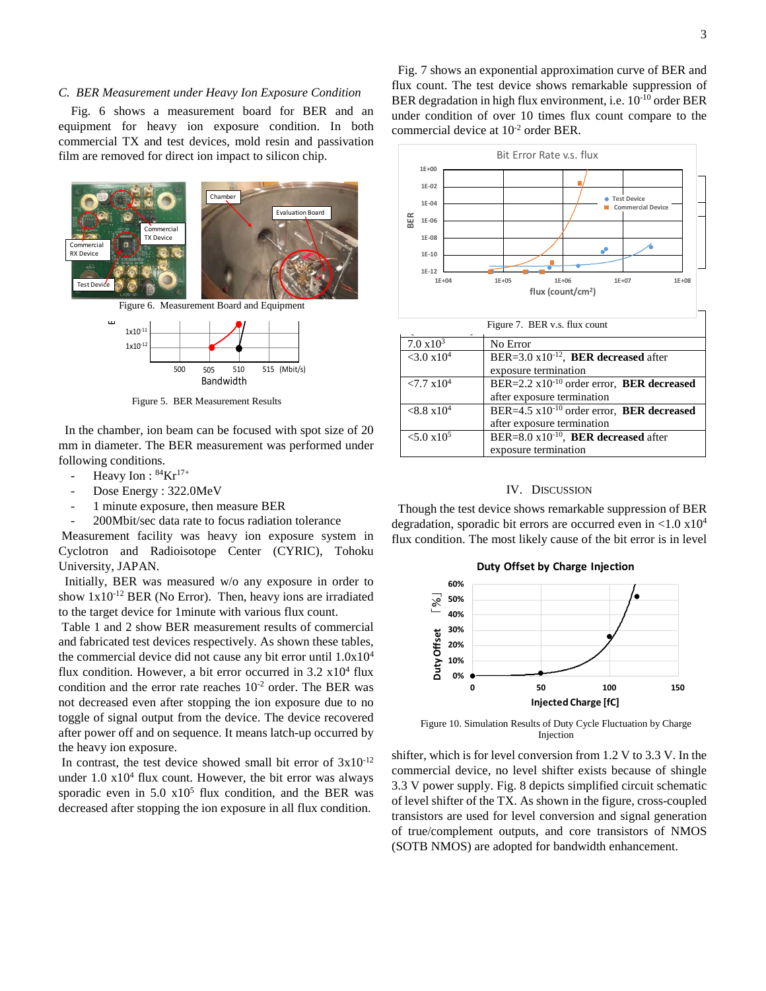Fig. 6 shows a measurement board for BER and an equipment for heavy ion exposure condition. In both commercial TX and test devices, mold resin and passivation film are removed for direct ion impact to silicon chip.



Figure 5. BER Measurement Results

In the chamber, ion beam can be focused with spot size of 20 mm in diameter. The BER measurement was performed under following conditions.

- Heavy Ion :  $84$ Kr<sup>17+</sup>
- Dose Energy : 322.0MeV
- 1 minute exposure, then measure BER
- 200Mbit/sec data rate to focus radiation tolerance

Measurement facility was heavy ion exposure system in Cyclotron and Radioisotope Center (CYRIC), Tohoku University, JAPAN.

Initially, BER was measured w/o any exposure in order to show  $1x10^{-12}$  BER (No Error). Then, heavy ions are irradiated to the target device for 1minute with various flux count.

Table 1 and 2 show BER measurement results of commercial and fabricated test devices respectively. As shown these tables, the commercial device did not cause any bit error until 1.0x104 flux condition. However, a bit error occurred in  $3.2 \times 10^4$  flux condition and the error rate reaches  $10^{-2}$  order. The BER was not decreased even after stopping the ion exposure due to no toggle of signal output from the device. The device recovered after power off and on sequence. It means latch-up occurred by the heavy ion exposure.

In contrast, the test device showed small bit error of  $3x10^{-12}$ under  $1.0 \times 10^4$  flux count. However, the bit error was always sporadic even in  $5.0 \times 10^5$  flux condition, and the BER was decreased after stopping the ion exposure in all flux condition.

Fig. 7 shows an exponential approximation curve of BER and flux count. The test device shows remarkable suppression of BER degradation in high flux environment, i.e.  $10^{-10}$  order BER under condition of over 10 times flux count compare to the commercial device at 10-2 order BER.



## IV. DISCUSSION

Though the test device shows remarkable suppression of BER degradation, sporadic bit errors are occurred even in  $\langle 1.0 \times 10^4 \rangle$ flux condition. The most likely cause of the bit error is in level



Figure 10. Simulation Results of Duty Cycle Fluctuation by Charge Injection

shifter, which is for level conversion from 1.2 V to 3.3 V. In the commercial device, no level shifter exists because of shingle 3.3 V power supply. Fig. 8 depicts simplified circuit schematic of level shifter of the TX. As shown in the figure, cross-coupled transistors are used for level conversion and signal generation of true/complement outputs, and core transistors of NMOS (SOTB NMOS) are adopted for bandwidth enhancement.